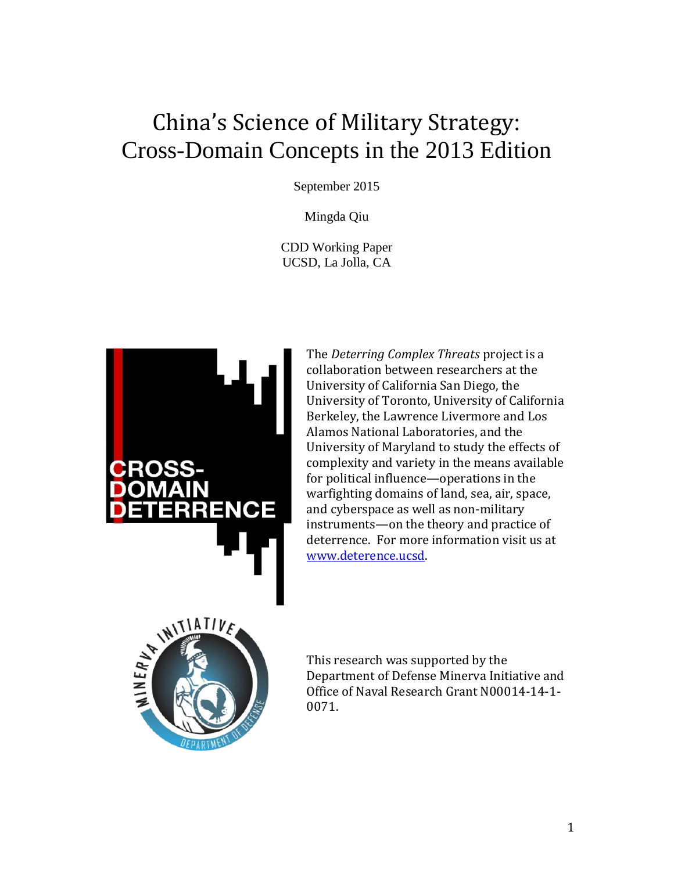# China's Science of Military Strategy: Cross-Domain Concepts in the 2013 Edition

September 2015

Mingda Qiu

CDD Working Paper UCSD, La Jolla, CA



The *Deterring Complex Threats* project is a collaboration between researchers at the University of California San Diego, the University of Toronto, University of California Berkeley, the Lawrence Livermore and Los Alamos National Laboratories, and the University of Maryland to study the effects of complexity and variety in the means available for political influence—operations in the warfighting domains of land, sea, air, space, and cyberspace as well as non-military instruments—on the theory and practice of deterrence. For more information visit us at [www.deterence.ucsd.](http://www.deterence.ucsd/)



This research was supported by the Department of Defense Minerva Initiative and Office of Naval Research Grant N00014-14-1- 0071.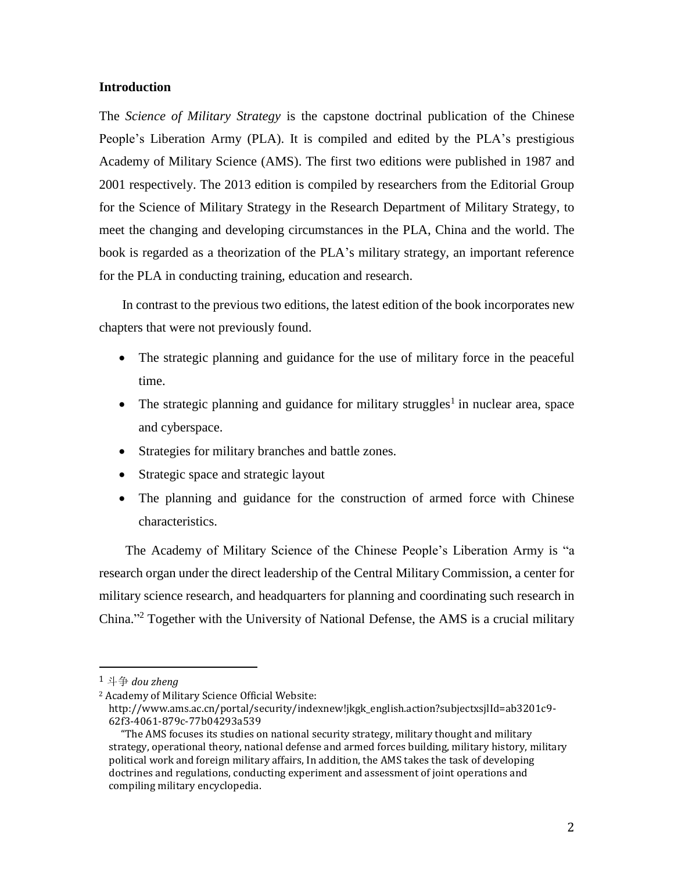## **Introduction**

The *Science of Military Strategy* is the capstone doctrinal publication of the Chinese People's Liberation Army (PLA). It is compiled and edited by the PLA's prestigious Academy of Military Science (AMS). The first two editions were published in 1987 and 2001 respectively. The 2013 edition is compiled by researchers from the Editorial Group for the Science of Military Strategy in the Research Department of Military Strategy, to meet the changing and developing circumstances in the PLA, China and the world. The book is regarded as a theorization of the PLA's military strategy, an important reference for the PLA in conducting training, education and research.

 In contrast to the previous two editions, the latest edition of the book incorporates new chapters that were not previously found.

- The strategic planning and guidance for the use of military force in the peaceful time.
- The strategic planning and guidance for military struggles<sup>1</sup> in nuclear area, space and cyberspace.
- Strategies for military branches and battle zones.
- Strategic space and strategic layout
- The planning and guidance for the construction of armed force with Chinese characteristics.

 The Academy of Military Science of the Chinese People's Liberation Army is "a research organ under the direct leadership of the Central Military Commission, a center for military science research, and headquarters for planning and coordinating such research in China." <sup>2</sup> Together with the University of National Defense, the AMS is a crucial military

l

<sup>1</sup> 斗争 *dou zheng*

<sup>2</sup> Academy of Military Science Official Website:

http://www.ams.ac.cn/portal/security/indexnew!jkgk\_english.action?subjectxsjlId=ab3201c9- 62f3-4061-879c-77b04293a539

"The AMS focuses its studies on national security strategy, military thought and military strategy, operational theory, national defense and armed forces building, military history, military political work and foreign military affairs, In addition, the AMS takes the task of developing doctrines and regulations, conducting experiment and assessment of joint operations and compiling military encyclopedia.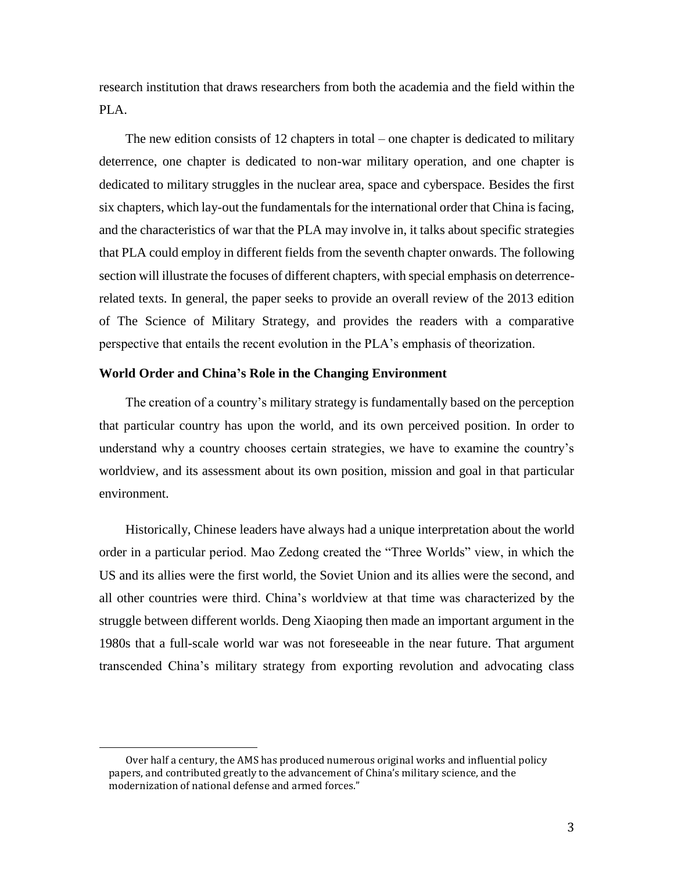research institution that draws researchers from both the academia and the field within the PLA.

 The new edition consists of 12 chapters in total – one chapter is dedicated to military deterrence, one chapter is dedicated to non-war military operation, and one chapter is dedicated to military struggles in the nuclear area, space and cyberspace. Besides the first six chapters, which lay-out the fundamentals for the international order that China is facing, and the characteristics of war that the PLA may involve in, it talks about specific strategies that PLA could employ in different fields from the seventh chapter onwards. The following section will illustrate the focuses of different chapters, with special emphasis on deterrencerelated texts. In general, the paper seeks to provide an overall review of the 2013 edition of The Science of Military Strategy, and provides the readers with a comparative perspective that entails the recent evolution in the PLA's emphasis of theorization.

#### **World Order and China's Role in the Changing Environment**

 The creation of a country's military strategy is fundamentally based on the perception that particular country has upon the world, and its own perceived position. In order to understand why a country chooses certain strategies, we have to examine the country's worldview, and its assessment about its own position, mission and goal in that particular environment.

 Historically, Chinese leaders have always had a unique interpretation about the world order in a particular period. Mao Zedong created the "Three Worlds" view, in which the US and its allies were the first world, the Soviet Union and its allies were the second, and all other countries were third. China's worldview at that time was characterized by the struggle between different worlds. Deng Xiaoping then made an important argument in the 1980s that a full-scale world war was not foreseeable in the near future. That argument transcended China's military strategy from exporting revolution and advocating class

Over half a century, the AMS has produced numerous original works and influential policy papers, and contributed greatly to the advancement of China's military science, and the modernization of national defense and armed forces."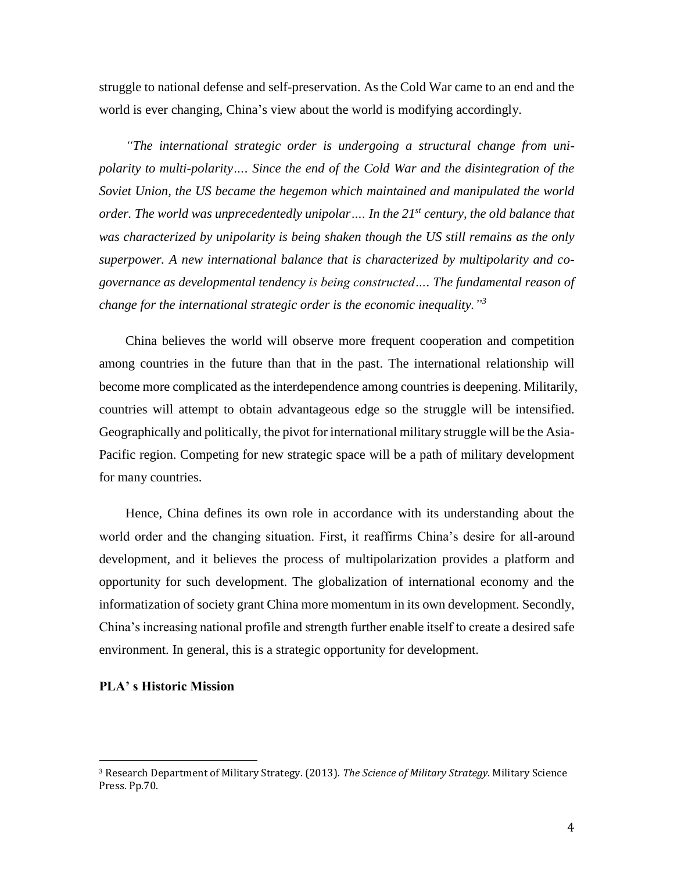struggle to national defense and self-preservation. As the Cold War came to an end and the world is ever changing, China's view about the world is modifying accordingly.

 *"The international strategic order is undergoing a structural change from unipolarity to multi-polarity…. Since the end of the Cold War and the disintegration of the Soviet Union, the US became the hegemon which maintained and manipulated the world order. The world was unprecedentedly unipolar…. In the 21st century, the old balance that was characterized by unipolarity is being shaken though the US still remains as the only superpower. A new international balance that is characterized by multipolarity and cogovernance as developmental tendency is being constructed…. The fundamental reason of change for the international strategic order is the economic inequality." 3*

 China believes the world will observe more frequent cooperation and competition among countries in the future than that in the past. The international relationship will become more complicated as the interdependence among countries is deepening. Militarily, countries will attempt to obtain advantageous edge so the struggle will be intensified. Geographically and politically, the pivot for international military struggle will be the Asia-Pacific region. Competing for new strategic space will be a path of military development for many countries.

 Hence, China defines its own role in accordance with its understanding about the world order and the changing situation. First, it reaffirms China's desire for all-around development, and it believes the process of multipolarization provides a platform and opportunity for such development. The globalization of international economy and the informatization of society grant China more momentum in its own development. Secondly, China's increasing national profile and strength further enable itself to create a desired safe environment. In general, this is a strategic opportunity for development.

#### **PLA' s Historic Mission**

<sup>3</sup> Research Department of Military Strategy. (2013). *The Science of Military Strategy.* Military Science Press. Pp.70.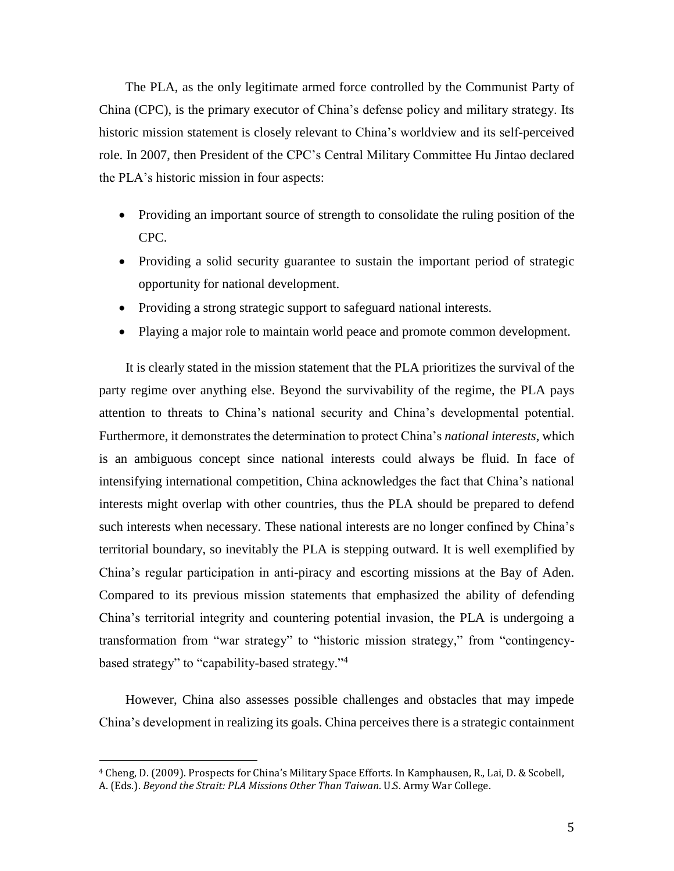The PLA, as the only legitimate armed force controlled by the Communist Party of China (CPC), is the primary executor of China's defense policy and military strategy. Its historic mission statement is closely relevant to China's worldview and its self-perceived role. In 2007, then President of the CPC's Central Military Committee Hu Jintao declared the PLA's historic mission in four aspects:

- Providing an important source of strength to consolidate the ruling position of the CPC.
- Providing a solid security guarantee to sustain the important period of strategic opportunity for national development.
- Providing a strong strategic support to safeguard national interests.
- Playing a major role to maintain world peace and promote common development.

 It is clearly stated in the mission statement that the PLA prioritizes the survival of the party regime over anything else. Beyond the survivability of the regime, the PLA pays attention to threats to China's national security and China's developmental potential. Furthermore, it demonstrates the determination to protect China's *national interests*, which is an ambiguous concept since national interests could always be fluid. In face of intensifying international competition, China acknowledges the fact that China's national interests might overlap with other countries, thus the PLA should be prepared to defend such interests when necessary. These national interests are no longer confined by China's territorial boundary, so inevitably the PLA is stepping outward. It is well exemplified by China's regular participation in anti-piracy and escorting missions at the Bay of Aden. Compared to its previous mission statements that emphasized the ability of defending China's territorial integrity and countering potential invasion, the PLA is undergoing a transformation from "war strategy" to "historic mission strategy," from "contingencybased strategy" to "capability-based strategy." 4

 However, China also assesses possible challenges and obstacles that may impede China's development in realizing its goals. China perceives there is a strategic containment

<sup>4</sup> Cheng, D. (2009). Prospects for China's Military Space Efforts*.* In Kamphausen, R., Lai, D. & Scobell, A. (Eds.). *Beyond the Strait: PLA Missions Other Than Taiwan*. U.S. Army War College.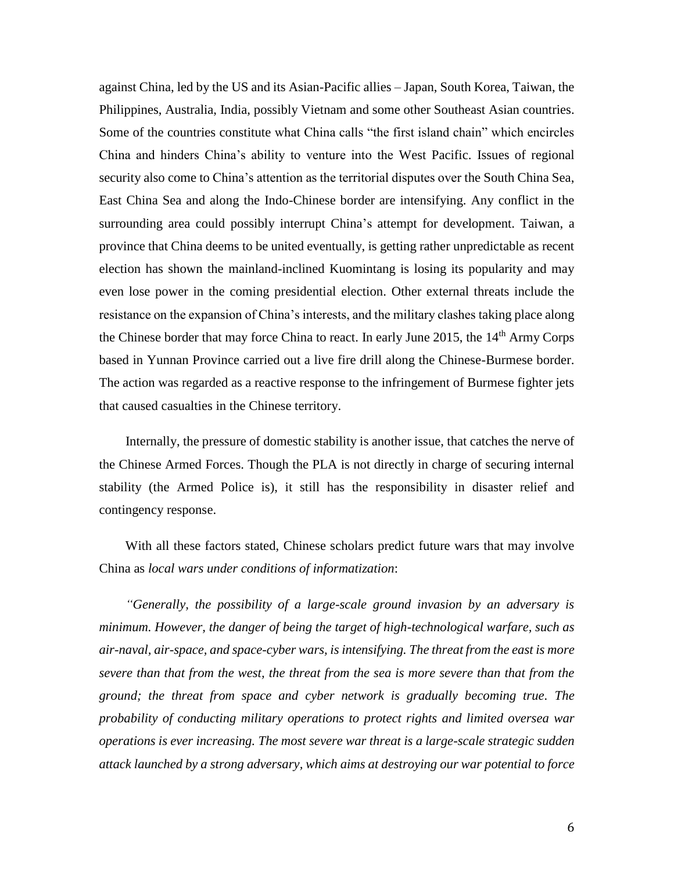against China, led by the US and its Asian-Pacific allies – Japan, South Korea, Taiwan, the Philippines, Australia, India, possibly Vietnam and some other Southeast Asian countries. Some of the countries constitute what China calls "the first island chain" which encircles China and hinders China's ability to venture into the West Pacific. Issues of regional security also come to China's attention as the territorial disputes over the South China Sea, East China Sea and along the Indo-Chinese border are intensifying. Any conflict in the surrounding area could possibly interrupt China's attempt for development. Taiwan, a province that China deems to be united eventually, is getting rather unpredictable as recent election has shown the mainland-inclined Kuomintang is losing its popularity and may even lose power in the coming presidential election. Other external threats include the resistance on the expansion of China's interests, and the military clashes taking place along the Chinese border that may force China to react. In early June 2015, the 14<sup>th</sup> Army Corps based in Yunnan Province carried out a live fire drill along the Chinese-Burmese border. The action was regarded as a reactive response to the infringement of Burmese fighter jets that caused casualties in the Chinese territory.

 Internally, the pressure of domestic stability is another issue, that catches the nerve of the Chinese Armed Forces. Though the PLA is not directly in charge of securing internal stability (the Armed Police is), it still has the responsibility in disaster relief and contingency response.

 With all these factors stated, Chinese scholars predict future wars that may involve China as *local wars under conditions of informatization*:

 *"Generally, the possibility of a large-scale ground invasion by an adversary is minimum. However, the danger of being the target of high-technological warfare, such as air-naval, air-space, and space-cyber wars, is intensifying. The threat from the east is more severe than that from the west, the threat from the sea is more severe than that from the ground; the threat from space and cyber network is gradually becoming true. The probability of conducting military operations to protect rights and limited oversea war operations is ever increasing. The most severe war threat is a large-scale strategic sudden attack launched by a strong adversary, which aims at destroying our war potential to force*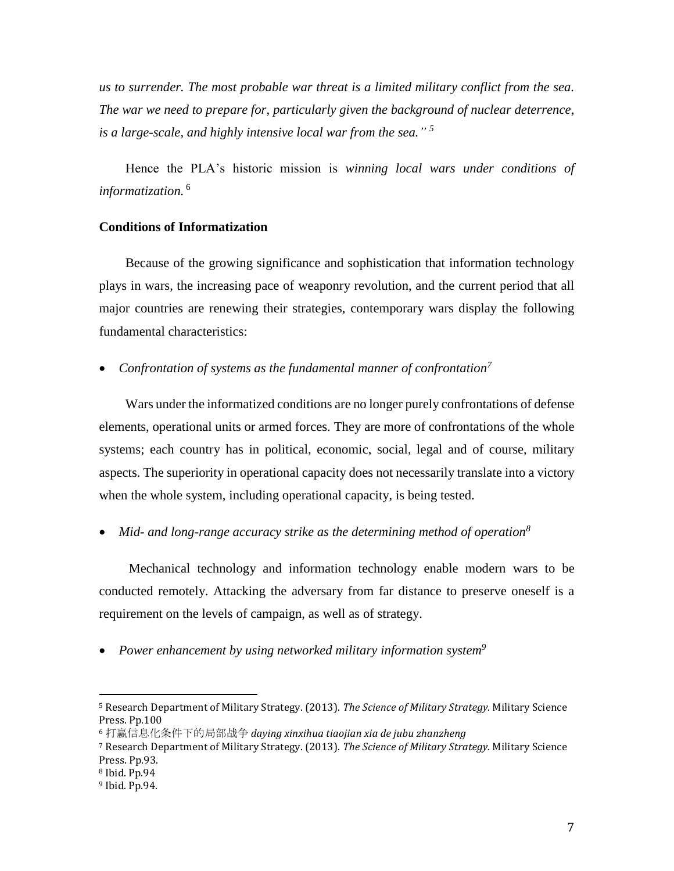*us to surrender. The most probable war threat is a limited military conflict from the sea. The war we need to prepare for, particularly given the background of nuclear deterrence, is a large-scale, and highly intensive local war from the sea." 5*

 Hence the PLA's historic mission is *winning local wars under conditions of informatization.* <sup>6</sup>

## **Conditions of Informatization**

 Because of the growing significance and sophistication that information technology plays in wars, the increasing pace of weaponry revolution, and the current period that all major countries are renewing their strategies, contemporary wars display the following fundamental characteristics:

## *Confrontation of systems as the fundamental manner of confrontation<sup>7</sup>*

 Wars under the informatized conditions are no longer purely confrontations of defense elements, operational units or armed forces. They are more of confrontations of the whole systems; each country has in political, economic, social, legal and of course, military aspects. The superiority in operational capacity does not necessarily translate into a victory when the whole system, including operational capacity, is being tested.

*Mid- and long-range accuracy strike as the determining method of operation<sup>8</sup>*

 Mechanical technology and information technology enable modern wars to be conducted remotely. Attacking the adversary from far distance to preserve oneself is a requirement on the levels of campaign, as well as of strategy.

*Power enhancement by using networked military information system<sup>9</sup>*

<sup>5</sup> Research Department of Military Strategy. (2013). *The Science of Military Strategy.* Military Science Press. Pp.100

<sup>6</sup> 打赢信息化条件下的局部战争 *daying xinxihua tiaojian xia de jubu zhanzheng*

<sup>7</sup> Research Department of Military Strategy. (2013). *The Science of Military Strategy.* Military Science Press. Pp.93.

<sup>8</sup> Ibid. Pp.94

<sup>9</sup> Ibid. Pp.94.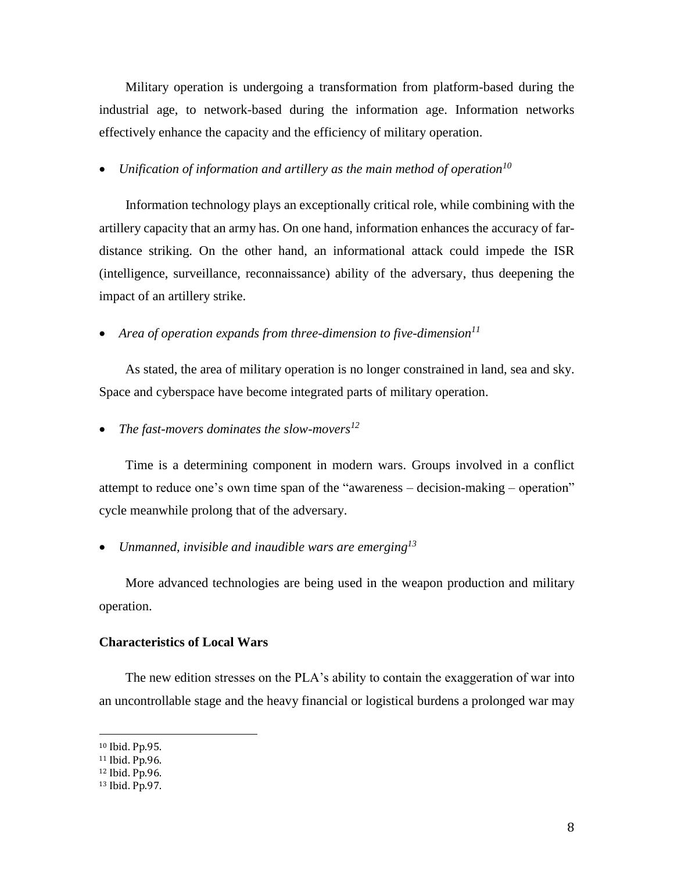Military operation is undergoing a transformation from platform-based during the industrial age, to network-based during the information age. Information networks effectively enhance the capacity and the efficiency of military operation.

*Unification of information and artillery as the main method of operation<sup>10</sup>*

 Information technology plays an exceptionally critical role, while combining with the artillery capacity that an army has. On one hand, information enhances the accuracy of fardistance striking. On the other hand, an informational attack could impede the ISR (intelligence, surveillance, reconnaissance) ability of the adversary, thus deepening the impact of an artillery strike.

*Area of operation expands from three-dimension to five-dimension<sup>11</sup>*

 As stated, the area of military operation is no longer constrained in land, sea and sky. Space and cyberspace have become integrated parts of military operation.

*The fast-movers dominates the slow-movers<sup>12</sup>*

 Time is a determining component in modern wars. Groups involved in a conflict attempt to reduce one's own time span of the "awareness – decision-making – operation" cycle meanwhile prolong that of the adversary.

*Unmanned, invisible and inaudible wars are emerging<sup>13</sup>*

 More advanced technologies are being used in the weapon production and military operation.

#### **Characteristics of Local Wars**

 The new edition stresses on the PLA's ability to contain the exaggeration of war into an uncontrollable stage and the heavy financial or logistical burdens a prolonged war may

<sup>10</sup> Ibid. Pp.95.

<sup>11</sup> Ibid. Pp.96.

<sup>12</sup> Ibid. Pp.96.

<sup>13</sup> Ibid. Pp.97.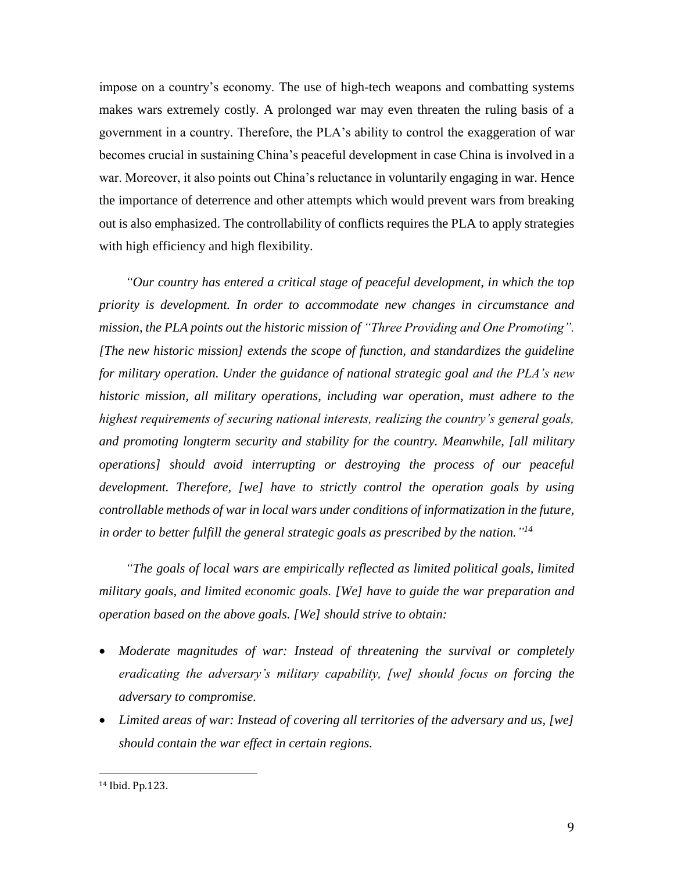impose on a country's economy. The use of high-tech weapons and combatting systems makes wars extremely costly. A prolonged war may even threaten the ruling basis of a government in a country. Therefore, the PLA's ability to control the exaggeration of war becomes crucial in sustaining China's peaceful development in case China is involved in a war. Moreover, it also points out China's reluctance in voluntarily engaging in war. Hence the importance of deterrence and other attempts which would prevent wars from breaking out is also emphasized. The controllability of conflicts requires the PLA to apply strategies with high efficiency and high flexibility.

 *"Our country has entered a critical stage of peaceful development, in which the top priority is development. In order to accommodate new changes in circumstance and mission, the PLA points out the historic mission of "Three Providing and One Promoting". [The new historic mission] extends the scope of function, and standardizes the guideline for military operation. Under the guidance of national strategic goal and the PLA's new historic mission, all military operations, including war operation, must adhere to the highest requirements of securing national interests, realizing the country's general goals, and promoting longterm security and stability for the country. Meanwhile, [all military operations] should avoid interrupting or destroying the process of our peaceful development. Therefore, [we] have to strictly control the operation goals by using controllable methods of war in local wars under conditions of informatization in the future, in order to better fulfill the general strategic goals as prescribed by the nation." 14*

 *"The goals of local wars are empirically reflected as limited political goals, limited military goals, and limited economic goals. [We] have to guide the war preparation and operation based on the above goals. [We] should strive to obtain:*

- *Moderate magnitudes of war: Instead of threatening the survival or completely eradicating the adversary's military capability, [we] should focus on forcing the adversary to compromise.*
- *Limited areas of war: Instead of covering all territories of the adversary and us, [we] should contain the war effect in certain regions.*

l

<sup>14</sup> Ibid. Pp.123.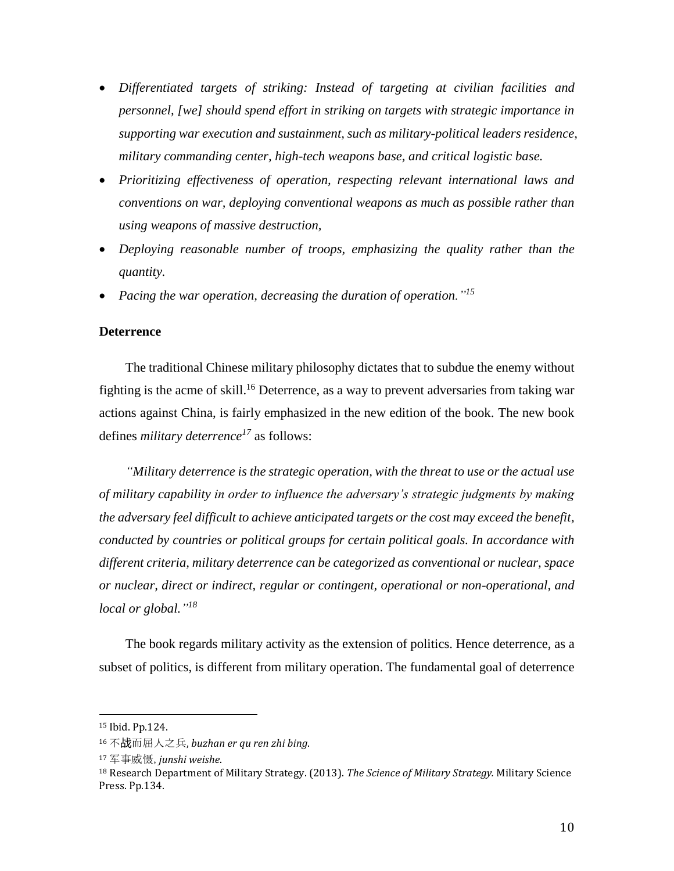- *Differentiated targets of striking: Instead of targeting at civilian facilities and personnel, [we] should spend effort in striking on targets with strategic importance in supporting war execution and sustainment, such as military-political leaders residence, military commanding center, high-tech weapons base, and critical logistic base.*
- *Prioritizing effectiveness of operation, respecting relevant international laws and conventions on war, deploying conventional weapons as much as possible rather than using weapons of massive destruction,*
- *Deploying reasonable number of troops, emphasizing the quality rather than the quantity.*
- *Pacing the war operation, decreasing the duration of operation."<sup>15</sup>*

## **Deterrence**

 The traditional Chinese military philosophy dictates that to subdue the enemy without fighting is the acme of skill.<sup>16</sup> Deterrence, as a way to prevent adversaries from taking war actions against China, is fairly emphasized in the new edition of the book. The new book defines *military deterrence<sup>17</sup>* as follows:

 *"Military deterrence is the strategic operation, with the threat to use or the actual use of military capability in order to influence the adversary's strategic judgments by making the adversary feel difficult to achieve anticipated targets or the cost may exceed the benefit, conducted by countries or political groups for certain political goals. In accordance with different criteria, military deterrence can be categorized as conventional or nuclear, space or nuclear, direct or indirect, regular or contingent, operational or non-operational, and local or global." 18*

 The book regards military activity as the extension of politics. Hence deterrence, as a subset of politics, is different from military operation. The fundamental goal of deterrence

<sup>15</sup> Ibid. Pp.124.

<sup>16</sup> 不战而屈人之兵, *buzhan er qu ren zhi bing*.

<sup>17</sup> 军事威慑,*junshi weishe*.

<sup>18</sup> Research Department of Military Strategy. (2013). *The Science of Military Strategy.* Military Science Press. Pp.134.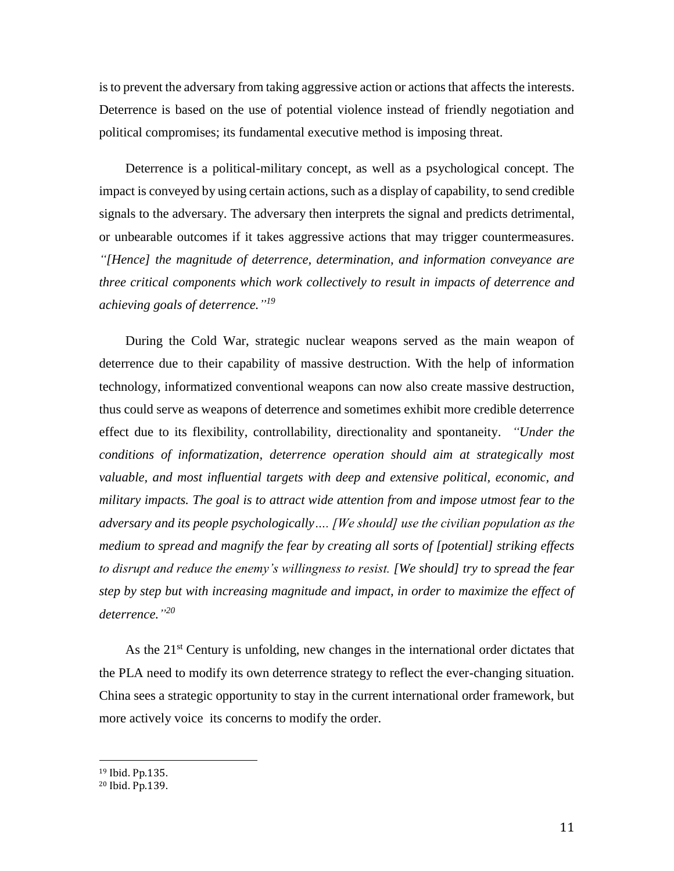is to prevent the adversary from taking aggressive action or actions that affects the interests. Deterrence is based on the use of potential violence instead of friendly negotiation and political compromises; its fundamental executive method is imposing threat.

 Deterrence is a political-military concept, as well as a psychological concept. The impact is conveyed by using certain actions, such as a display of capability, to send credible signals to the adversary. The adversary then interprets the signal and predicts detrimental, or unbearable outcomes if it takes aggressive actions that may trigger countermeasures. *"[Hence] the magnitude of deterrence, determination, and information conveyance are three critical components which work collectively to result in impacts of deterrence and achieving goals of deterrence." 19*

 During the Cold War, strategic nuclear weapons served as the main weapon of deterrence due to their capability of massive destruction. With the help of information technology, informatized conventional weapons can now also create massive destruction, thus could serve as weapons of deterrence and sometimes exhibit more credible deterrence effect due to its flexibility, controllability, directionality and spontaneity. *"Under the conditions of informatization, deterrence operation should aim at strategically most valuable, and most influential targets with deep and extensive political, economic, and military impacts. The goal is to attract wide attention from and impose utmost fear to the adversary and its people psychologically…. [We should] use the civilian population as the medium to spread and magnify the fear by creating all sorts of [potential] striking effects to disrupt and reduce the enemy's willingness to resist. [We should] try to spread the fear step by step but with increasing magnitude and impact, in order to maximize the effect of deterrence." 20*

As the 21<sup>st</sup> Century is unfolding, new changes in the international order dictates that the PLA need to modify its own deterrence strategy to reflect the ever-changing situation. China sees a strategic opportunity to stay in the current international order framework, but more actively voice its concerns to modify the order.

<sup>19</sup> Ibid. Pp.135.

<sup>20</sup> Ibid. Pp.139.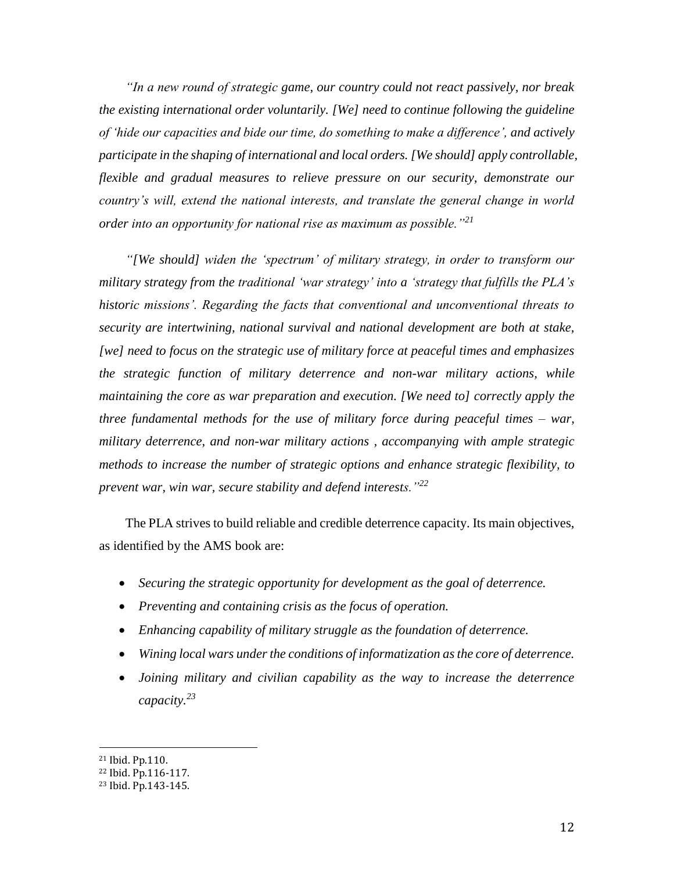*"In a new round of strategic game, our country could not react passively, nor break the existing international order voluntarily. [We] need to continue following the guideline of 'hide our capacities and bide our time, do something to make a difference', and actively participate in the shaping of international and local orders. [We should] apply controllable, flexible and gradual measures to relieve pressure on our security, demonstrate our country's will, extend the national interests, and translate the general change in world order into an opportunity for national rise as maximum as possible."<sup>21</sup>*

 *"[We should] widen the 'spectrum' of military strategy, in order to transform our military strategy from the traditional 'war strategy' into a 'strategy that fulfills the PLA's historic missions'. Regarding the facts that conventional and unconventional threats to security are intertwining, national survival and national development are both at stake, [we] need to focus on the strategic use of military force at peaceful times and emphasizes the strategic function of military deterrence and non-war military actions, while maintaining the core as war preparation and execution. [We need to] correctly apply the three fundamental methods for the use of military force during peaceful times – war, military deterrence, and non-war military actions , accompanying with ample strategic methods to increase the number of strategic options and enhance strategic flexibility, to prevent war, win war, secure stability and defend interests."<sup>22</sup>*

 The PLA strives to build reliable and credible deterrence capacity. Its main objectives, as identified by the AMS book are:

- *Securing the strategic opportunity for development as the goal of deterrence.*
- *Preventing and containing crisis as the focus of operation.*
- *Enhancing capability of military struggle as the foundation of deterrence.*
- *Wining local wars under the conditions of informatization as the core of deterrence.*
- *Joining military and civilian capability as the way to increase the deterrence capacity.<sup>23</sup>*

<sup>21</sup> Ibid. Pp.110.

<sup>22</sup> Ibid. Pp.116-117.

<sup>23</sup> Ibid. Pp.143-145.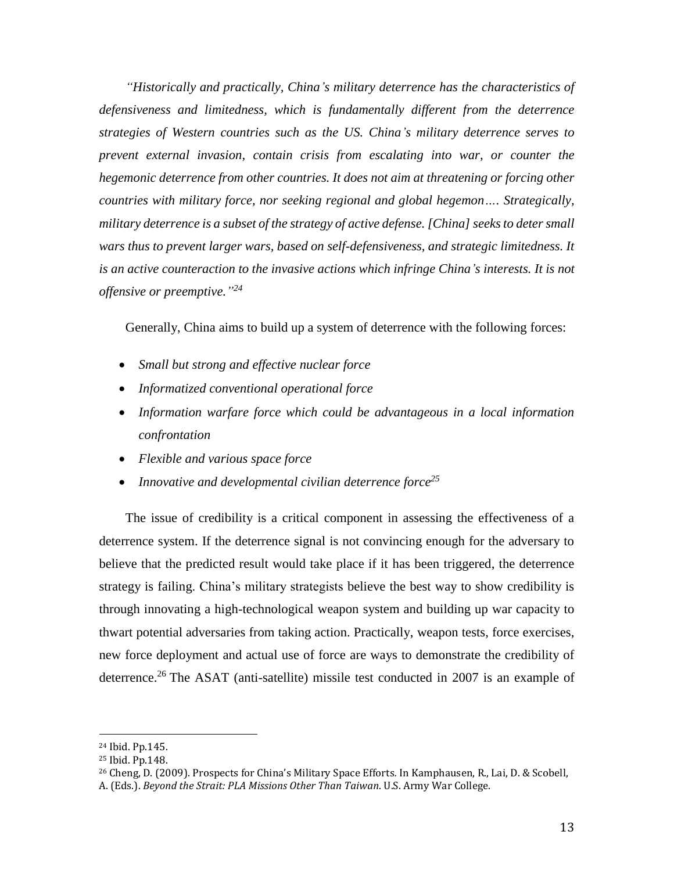*"Historically and practically, China's military deterrence has the characteristics of defensiveness and limitedness, which is fundamentally different from the deterrence strategies of Western countries such as the US. China's military deterrence serves to prevent external invasion, contain crisis from escalating into war, or counter the hegemonic deterrence from other countries. It does not aim at threatening or forcing other countries with military force, nor seeking regional and global hegemon…. Strategically, military deterrence is a subset of the strategy of active defense. [China] seeks to deter small wars thus to prevent larger wars, based on self-defensiveness, and strategic limitedness. It is an active counteraction to the invasive actions which infringe China's interests. It is not offensive or preemptive." 24* 

Generally, China aims to build up a system of deterrence with the following forces:

- *Small but strong and effective nuclear force*
- *Informatized conventional operational force*
- *Information warfare force which could be advantageous in a local information confrontation*
- *Flexible and various space force*
- *Innovative and developmental civilian deterrence force<sup>25</sup>*

 The issue of credibility is a critical component in assessing the effectiveness of a deterrence system. If the deterrence signal is not convincing enough for the adversary to believe that the predicted result would take place if it has been triggered, the deterrence strategy is failing. China's military strategists believe the best way to show credibility is through innovating a high-technological weapon system and building up war capacity to thwart potential adversaries from taking action. Practically, weapon tests, force exercises, new force deployment and actual use of force are ways to demonstrate the credibility of deterrence.<sup>26</sup> The ASAT (anti-satellite) missile test conducted in 2007 is an example of

<sup>24</sup> Ibid. Pp.145.

<sup>25</sup> Ibid. Pp.148.

<sup>26</sup> Cheng, D. (2009). Prospects for China's Military Space Efforts*.* In Kamphausen, R., Lai, D. & Scobell,

A. (Eds.). *Beyond the Strait: PLA Missions Other Than Taiwan*. U.S. Army War College.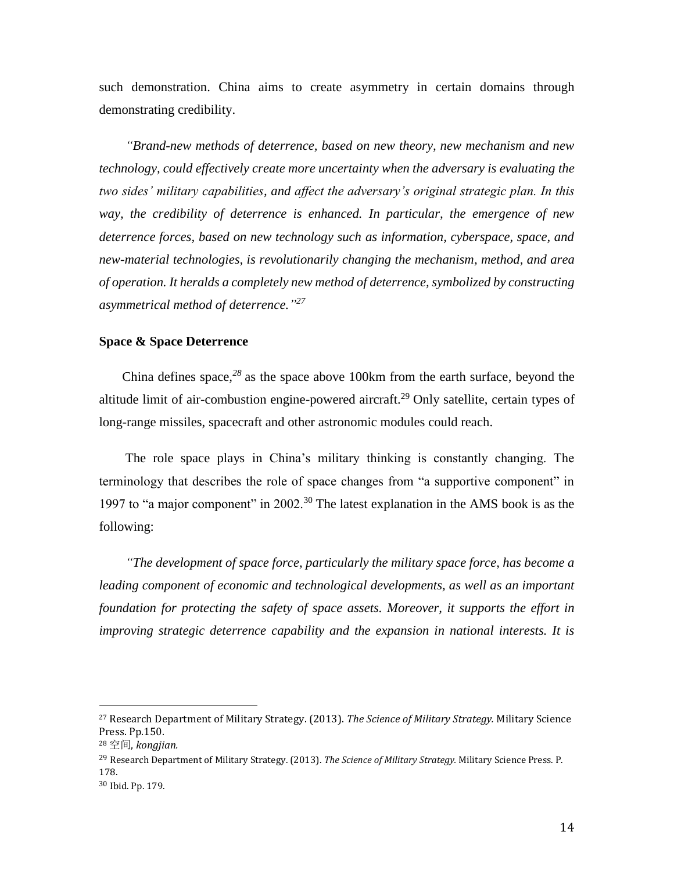such demonstration. China aims to create asymmetry in certain domains through demonstrating credibility.

 *"Brand-new methods of deterrence, based on new theory, new mechanism and new technology, could effectively create more uncertainty when the adversary is evaluating the two sides' military capabilities, and affect the adversary's original strategic plan. In this way, the credibility of deterrence is enhanced. In particular, the emergence of new deterrence forces, based on new technology such as information, cyberspace, space, and new-material technologies, is revolutionarily changing the mechanism, method, and area of operation. It heralds a completely new method of deterrence, symbolized by constructing asymmetrical method of deterrence." 27*

## **Space & Space Deterrence**

 China defines space*, <sup>28</sup>* as the space above 100km from the earth surface, beyond the altitude limit of air-combustion engine-powered aircraft.<sup>29</sup> Only satellite, certain types of long-range missiles, spacecraft and other astronomic modules could reach.

 The role space plays in China's military thinking is constantly changing. The terminology that describes the role of space changes from "a supportive component" in 1997 to "a major component" in 2002.<sup>30</sup> The latest explanation in the AMS book is as the following:

 *"The development of space force, particularly the military space force, has become a*  leading component of economic and technological developments, as well as an important *foundation for protecting the safety of space assets. Moreover, it supports the effort in improving strategic deterrence capability and the expansion in national interests. It is* 

<sup>27</sup> Research Department of Military Strategy. (2013). *The Science of Military Strategy.* Military Science Press. Pp.150.

<sup>28</sup> 空间, *kongjian.*

<sup>29</sup> Research Department of Military Strategy. (2013). *The Science of Military Strategy.* Military Science Press. P. 178.

<sup>30</sup> Ibid. Pp. 179.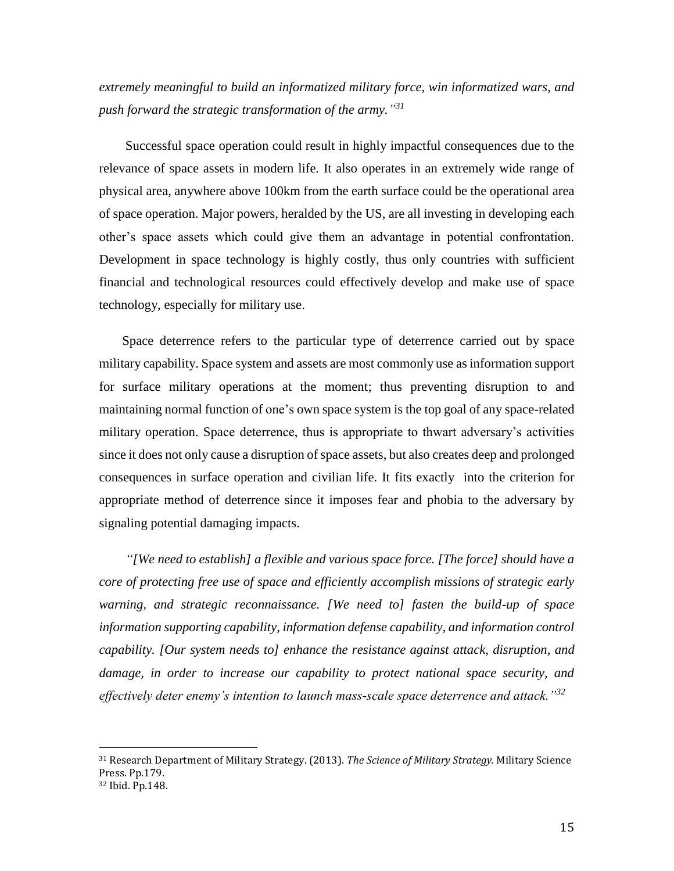*extremely meaningful to build an informatized military force, win informatized wars, and push forward the strategic transformation of the army." 31*

 Successful space operation could result in highly impactful consequences due to the relevance of space assets in modern life. It also operates in an extremely wide range of physical area, anywhere above 100km from the earth surface could be the operational area of space operation. Major powers, heralded by the US, are all investing in developing each other's space assets which could give them an advantage in potential confrontation. Development in space technology is highly costly, thus only countries with sufficient financial and technological resources could effectively develop and make use of space technology, especially for military use.

 Space deterrence refers to the particular type of deterrence carried out by space military capability. Space system and assets are most commonly use as information support for surface military operations at the moment; thus preventing disruption to and maintaining normal function of one's own space system is the top goal of any space-related military operation. Space deterrence, thus is appropriate to thwart adversary's activities since it does not only cause a disruption of space assets, but also creates deep and prolonged consequences in surface operation and civilian life. It fits exactly into the criterion for appropriate method of deterrence since it imposes fear and phobia to the adversary by signaling potential damaging impacts.

 *"[We need to establish] a flexible and various space force. [The force] should have a core of protecting free use of space and efficiently accomplish missions of strategic early warning, and strategic reconnaissance. [We need to] fasten the build-up of space information supporting capability, information defense capability, and information control capability. [Our system needs to] enhance the resistance against attack, disruption, and damage, in order to increase our capability to protect national space security, and effectively deter enemy's intention to launch mass-scale space deterrence and attack."<sup>32</sup>*

<sup>31</sup> Research Department of Military Strategy. (2013). *The Science of Military Strategy.* Military Science Press. Pp.179. <sup>32</sup> Ibid. Pp.148.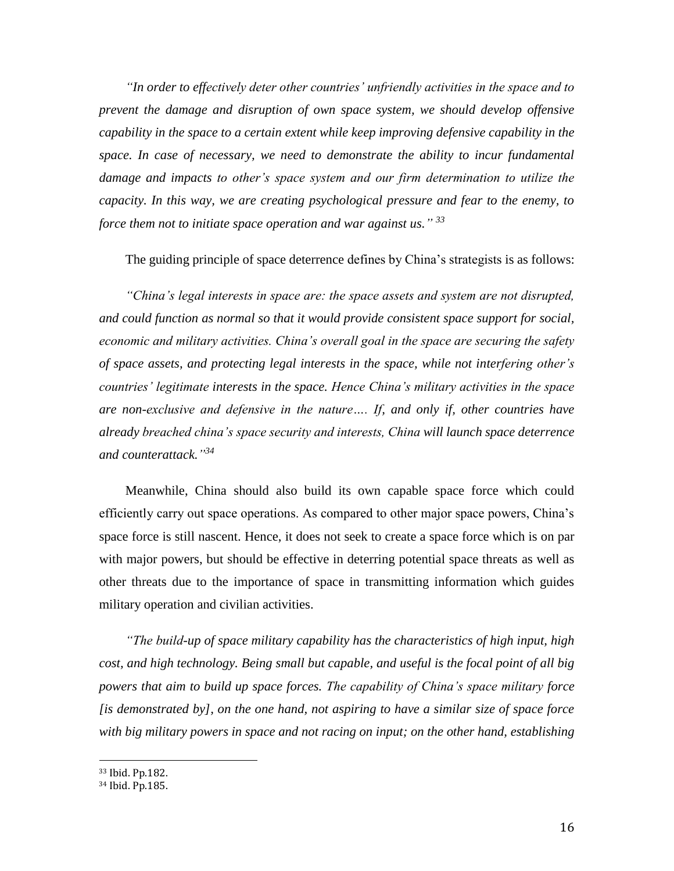*"In order to effectively deter other countries' unfriendly activities in the space and to prevent the damage and disruption of own space system, we should develop offensive capability in the space to a certain extent while keep improving defensive capability in the space. In case of necessary, we need to demonstrate the ability to incur fundamental damage and impacts to other's space system and our firm determination to utilize the capacity. In this way, we are creating psychological pressure and fear to the enemy, to force them not to initiate space operation and war against us." 33*

The guiding principle of space deterrence defines by China's strategists is as follows:

 *"China's legal interests in space are: the space assets and system are not disrupted, and could function as normal so that it would provide consistent space support for social, economic and military activities. China's overall goal in the space are securing the safety of space assets, and protecting legal interests in the space, while not interfering other's countries' legitimate interests in the space. Hence China's military activities in the space are non-exclusive and defensive in the nature…. If, and only if, other countries have already breached china's space security and interests, China will launch space deterrence and counterattack." 34*

 Meanwhile, China should also build its own capable space force which could efficiently carry out space operations. As compared to other major space powers, China's space force is still nascent. Hence, it does not seek to create a space force which is on par with major powers, but should be effective in deterring potential space threats as well as other threats due to the importance of space in transmitting information which guides military operation and civilian activities.

 *"The build-up of space military capability has the characteristics of high input, high cost, and high technology. Being small but capable, and useful is the focal point of all big powers that aim to build up space forces. The capability of China's space military force [is demonstrated by], on the one hand, not aspiring to have a similar size of space force with big military powers in space and not racing on input; on the other hand, establishing* 

<sup>33</sup> Ibid. Pp.182.

<sup>34</sup> Ibid. Pp.185.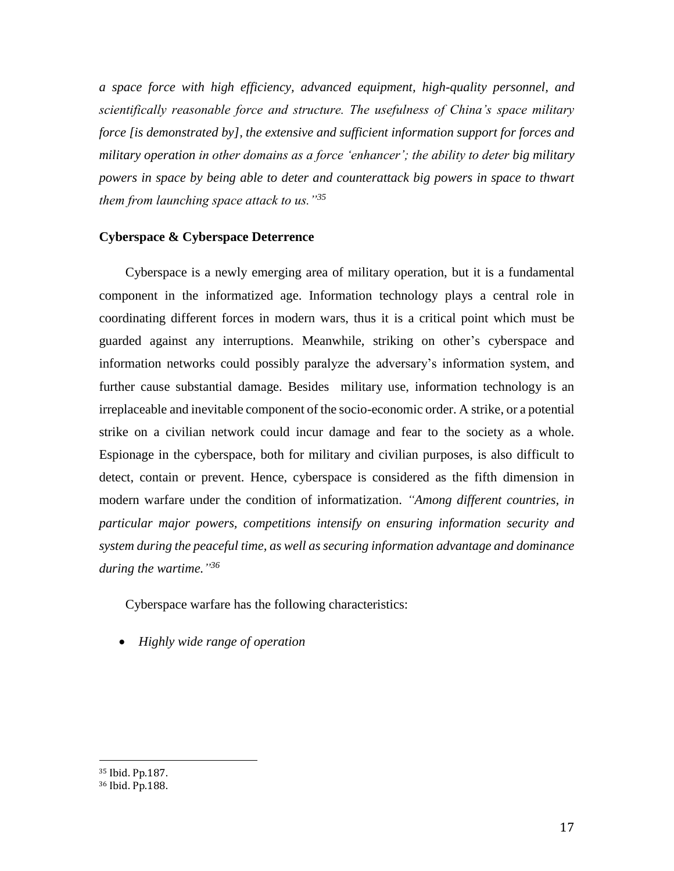*a space force with high efficiency, advanced equipment, high-quality personnel, and scientifically reasonable force and structure. The usefulness of China's space military force [is demonstrated by], the extensive and sufficient information support for forces and military operation in other domains as a force 'enhancer'; the ability to deter big military powers in space by being able to deter and counterattack big powers in space to thwart them from launching space attack to us."<sup>35</sup>*

## **Cyberspace & Cyberspace Deterrence**

 Cyberspace is a newly emerging area of military operation, but it is a fundamental component in the informatized age. Information technology plays a central role in coordinating different forces in modern wars, thus it is a critical point which must be guarded against any interruptions. Meanwhile, striking on other's cyberspace and information networks could possibly paralyze the adversary's information system, and further cause substantial damage. Besides military use, information technology is an irreplaceable and inevitable component of the socio-economic order. A strike, or a potential strike on a civilian network could incur damage and fear to the society as a whole. Espionage in the cyberspace, both for military and civilian purposes, is also difficult to detect, contain or prevent. Hence, cyberspace is considered as the fifth dimension in modern warfare under the condition of informatization. *"Among different countries, in particular major powers, competitions intensify on ensuring information security and system during the peaceful time, as well as securing information advantage and dominance during the wartime." 36*

Cyberspace warfare has the following characteristics:

*Highly wide range of operation*

<sup>35</sup> Ibid. Pp.187.

<sup>36</sup> Ibid. Pp.188.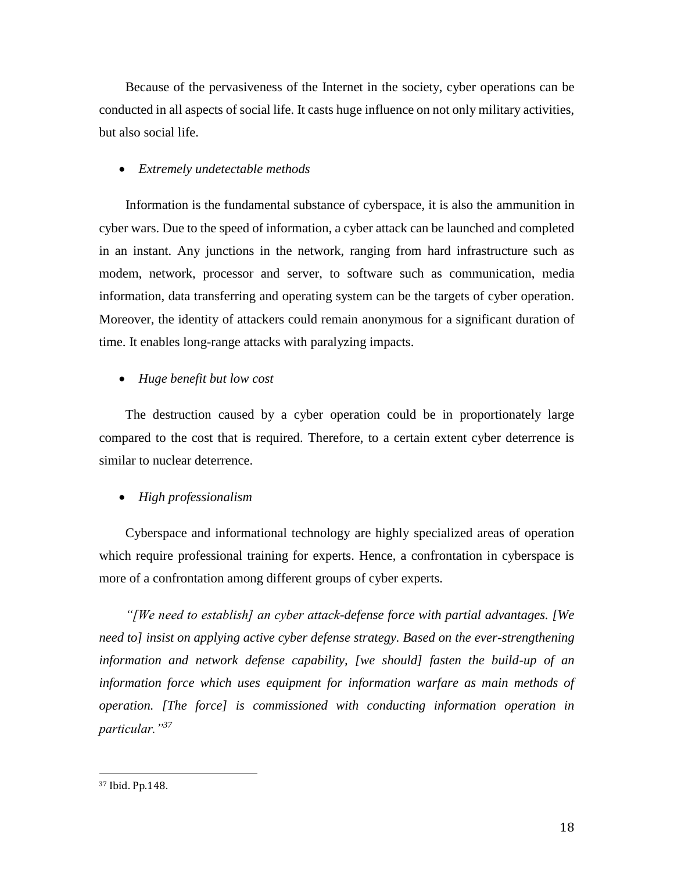Because of the pervasiveness of the Internet in the society, cyber operations can be conducted in all aspects of social life. It casts huge influence on not only military activities, but also social life.

#### *Extremely undetectable methods*

 Information is the fundamental substance of cyberspace, it is also the ammunition in cyber wars. Due to the speed of information, a cyber attack can be launched and completed in an instant. Any junctions in the network, ranging from hard infrastructure such as modem, network, processor and server, to software such as communication, media information, data transferring and operating system can be the targets of cyber operation. Moreover, the identity of attackers could remain anonymous for a significant duration of time. It enables long-range attacks with paralyzing impacts.

#### *Huge benefit but low cost*

 The destruction caused by a cyber operation could be in proportionately large compared to the cost that is required. Therefore, to a certain extent cyber deterrence is similar to nuclear deterrence.

#### *High professionalism*

 Cyberspace and informational technology are highly specialized areas of operation which require professional training for experts. Hence, a confrontation in cyberspace is more of a confrontation among different groups of cyber experts.

 *"[We need to establish] an cyber attack-defense force with partial advantages. [We need to] insist on applying active cyber defense strategy. Based on the ever-strengthening information and network defense capability, [we should] fasten the build-up of an information force which uses equipment for information warfare as main methods of operation. [The force] is commissioned with conducting information operation in particular."<sup>37</sup>*

l

<sup>37</sup> Ibid. Pp.148.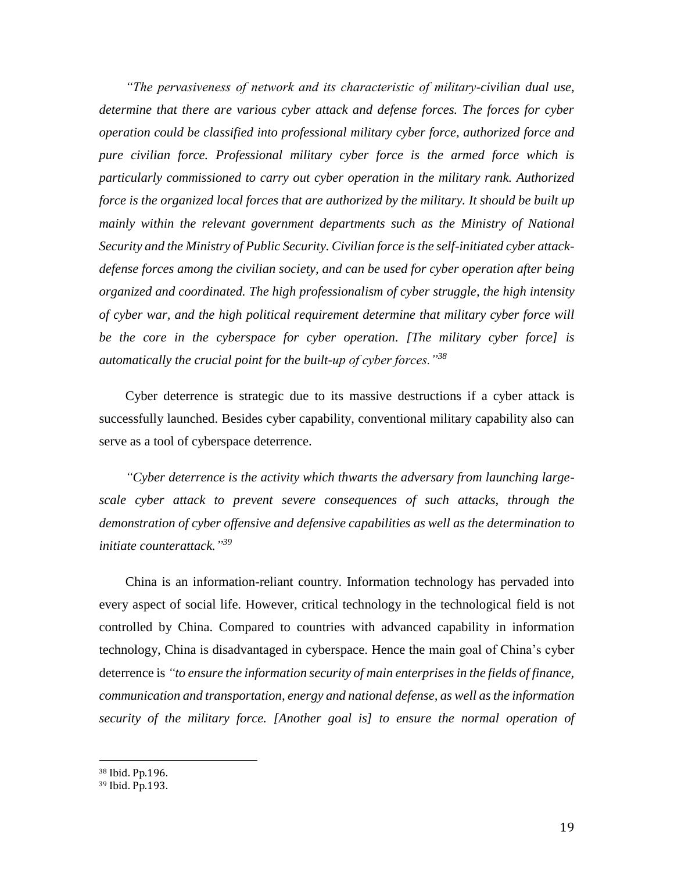*"The pervasiveness of network and its characteristic of military-civilian dual use, determine that there are various cyber attack and defense forces. The forces for cyber operation could be classified into professional military cyber force, authorized force and pure civilian force. Professional military cyber force is the armed force which is particularly commissioned to carry out cyber operation in the military rank. Authorized force is the organized local forces that are authorized by the military. It should be built up*  mainly within the relevant government departments such as the Ministry of National *Security and the Ministry of Public Security. Civilian force is the self-initiated cyber attackdefense forces among the civilian society, and can be used for cyber operation after being organized and coordinated. The high professionalism of cyber struggle, the high intensity of cyber war, and the high political requirement determine that military cyber force will be the core in the cyberspace for cyber operation. [The military cyber force] is automatically the crucial point for the built-up of cyber forces."<sup>38</sup>*

 Cyber deterrence is strategic due to its massive destructions if a cyber attack is successfully launched. Besides cyber capability, conventional military capability also can serve as a tool of cyberspace deterrence.

 *"Cyber deterrence is the activity which thwarts the adversary from launching largescale cyber attack to prevent severe consequences of such attacks, through the demonstration of cyber offensive and defensive capabilities as well as the determination to initiate counterattack." 39*

 China is an information-reliant country. Information technology has pervaded into every aspect of social life. However, critical technology in the technological field is not controlled by China. Compared to countries with advanced capability in information technology, China is disadvantaged in cyberspace. Hence the main goal of China's cyber deterrence is *"to ensure the information security of main enterprises in the fields of finance, communication and transportation, energy and national defense, as well as the information security of the military force. [Another goal is] to ensure the normal operation of* 

<sup>38</sup> Ibid. Pp.196.

<sup>39</sup> Ibid. Pp.193.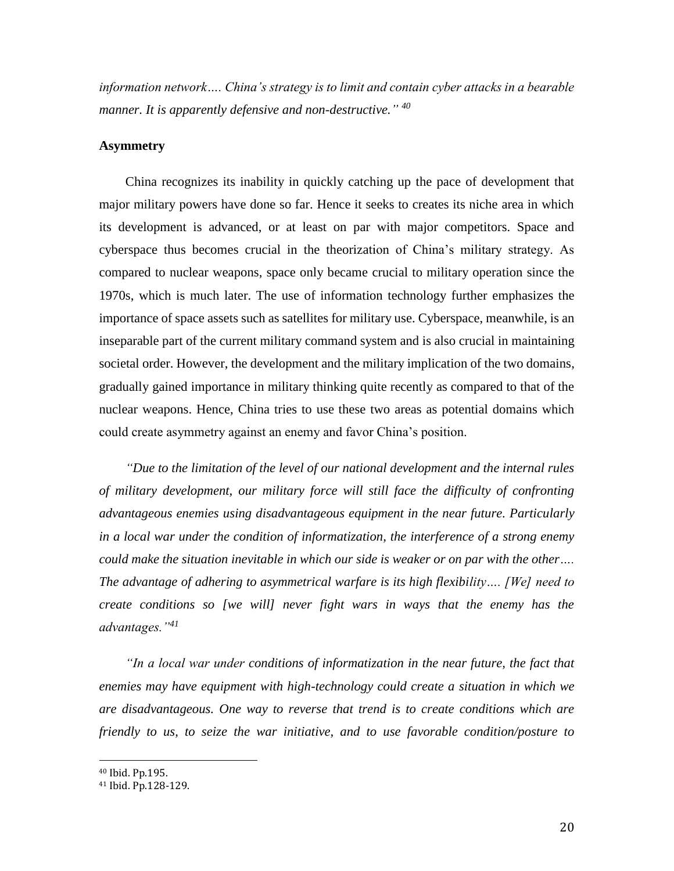*information network…. China's strategy is to limit and contain cyber attacks in a bearable manner. It is apparently defensive and non-destructive." 40*

## **Asymmetry**

 China recognizes its inability in quickly catching up the pace of development that major military powers have done so far. Hence it seeks to creates its niche area in which its development is advanced, or at least on par with major competitors. Space and cyberspace thus becomes crucial in the theorization of China's military strategy. As compared to nuclear weapons, space only became crucial to military operation since the 1970s, which is much later. The use of information technology further emphasizes the importance of space assets such as satellites for military use. Cyberspace, meanwhile, is an inseparable part of the current military command system and is also crucial in maintaining societal order. However, the development and the military implication of the two domains, gradually gained importance in military thinking quite recently as compared to that of the nuclear weapons. Hence, China tries to use these two areas as potential domains which could create asymmetry against an enemy and favor China's position.

 *"Due to the limitation of the level of our national development and the internal rules of military development, our military force will still face the difficulty of confronting advantageous enemies using disadvantageous equipment in the near future. Particularly in a local war under the condition of informatization, the interference of a strong enemy could make the situation inevitable in which our side is weaker or on par with the other…. The advantage of adhering to asymmetrical warfare is its high flexibility…. [We] need to create conditions so [we will] never fight wars in ways that the enemy has the advantages."<sup>41</sup>*

 *"In a local war under conditions of informatization in the near future, the fact that enemies may have equipment with high-technology could create a situation in which we are disadvantageous. One way to reverse that trend is to create conditions which are friendly to us, to seize the war initiative, and to use favorable condition/posture to* 

<sup>40</sup> Ibid. Pp.195.

<sup>41</sup> Ibid. Pp.128-129.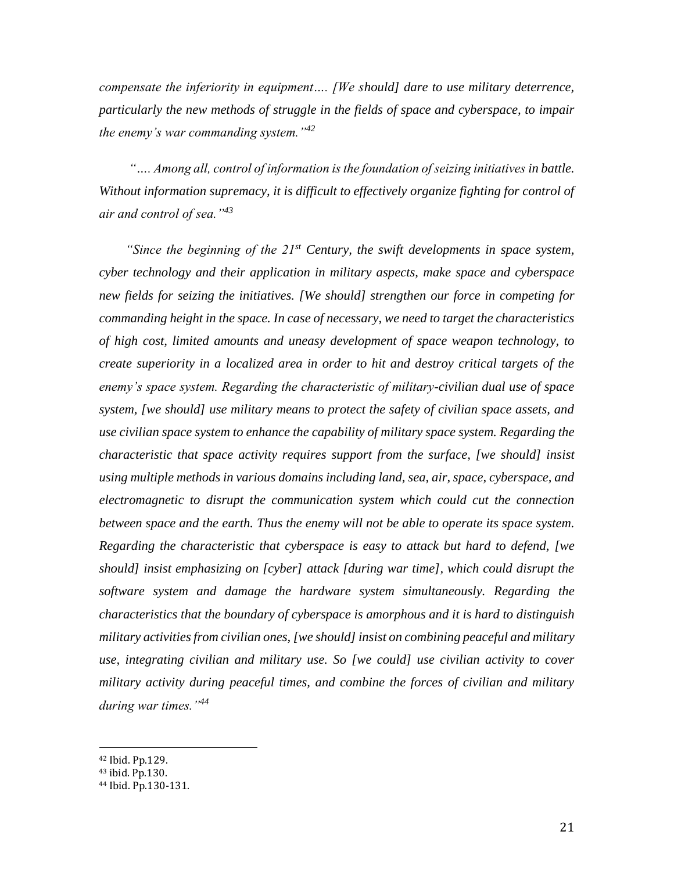*compensate the inferiority in equipment…. [We should] dare to use military deterrence, particularly the new methods of struggle in the fields of space and cyberspace, to impair the enemy's war commanding system."<sup>42</sup>*

 *"…. Among all, control of information is the foundation of seizing initiatives in battle. Without information supremacy, it is difficult to effectively organize fighting for control of air and control of sea."<sup>43</sup>*

 *"Since the beginning of the 21st Century, the swift developments in space system, cyber technology and their application in military aspects, make space and cyberspace new fields for seizing the initiatives. [We should] strengthen our force in competing for commanding height in the space. In case of necessary, we need to target the characteristics of high cost, limited amounts and uneasy development of space weapon technology, to create superiority in a localized area in order to hit and destroy critical targets of the enemy's space system. Regarding the characteristic of military-civilian dual use of space system, [we should] use military means to protect the safety of civilian space assets, and use civilian space system to enhance the capability of military space system. Regarding the characteristic that space activity requires support from the surface, [we should] insist using multiple methods in various domains including land, sea, air, space, cyberspace, and electromagnetic to disrupt the communication system which could cut the connection between space and the earth. Thus the enemy will not be able to operate its space system. Regarding the characteristic that cyberspace is easy to attack but hard to defend, [we should] insist emphasizing on [cyber] attack [during war time], which could disrupt the software system and damage the hardware system simultaneously. Regarding the characteristics that the boundary of cyberspace is amorphous and it is hard to distinguish military activitiesfrom civilian ones, [we should] insist on combining peaceful and military use, integrating civilian and military use. So [we could] use civilian activity to cover military activity during peaceful times, and combine the forces of civilian and military during war times."<sup>44</sup>*

<sup>42</sup> Ibid. Pp.129.

 $\overline{a}$ 

<sup>43</sup> ibid. Pp.130.

<sup>44</sup> Ibid. Pp.130-131.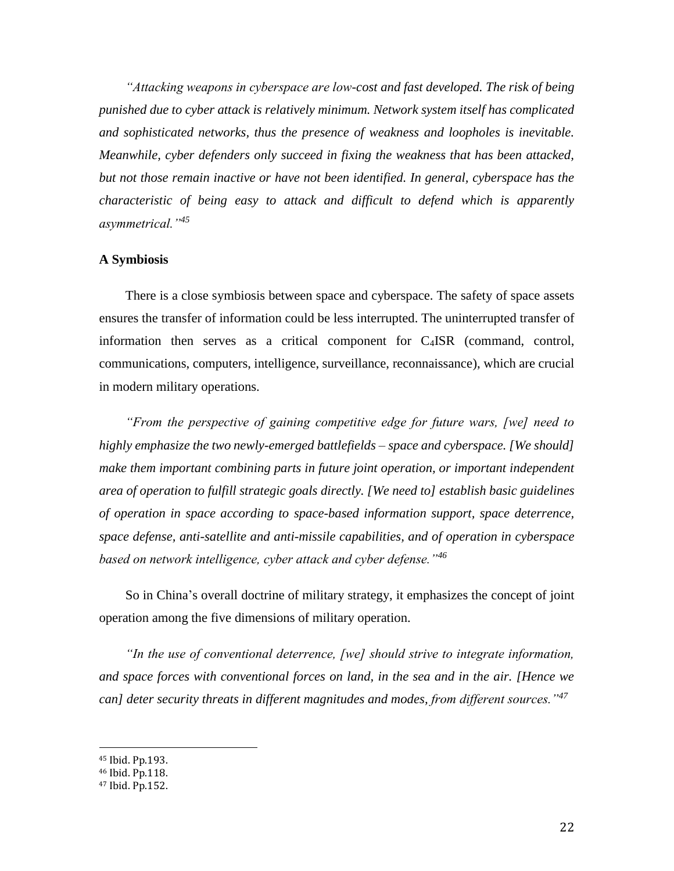*"Attacking weapons in cyberspace are low-cost and fast developed. The risk of being punished due to cyber attack is relatively minimum. Network system itself has complicated and sophisticated networks, thus the presence of weakness and loopholes is inevitable. Meanwhile, cyber defenders only succeed in fixing the weakness that has been attacked, but not those remain inactive or have not been identified. In general, cyberspace has the characteristic of being easy to attack and difficult to defend which is apparently asymmetrical."<sup>45</sup>*

### **A Symbiosis**

 There is a close symbiosis between space and cyberspace. The safety of space assets ensures the transfer of information could be less interrupted. The uninterrupted transfer of information then serves as a critical component for C4ISR (command, control, communications, computers, intelligence, surveillance, reconnaissance), which are crucial in modern military operations.

 *"From the perspective of gaining competitive edge for future wars, [we] need to highly emphasize the two newly-emerged battlefields – space and cyberspace. [We should] make them important combining parts in future joint operation, or important independent area of operation to fulfill strategic goals directly. [We need to] establish basic guidelines of operation in space according to space-based information support, space deterrence, space defense, anti-satellite and anti-missile capabilities, and of operation in cyberspace based on network intelligence, cyber attack and cyber defense."<sup>46</sup>*

 So in China's overall doctrine of military strategy, it emphasizes the concept of joint operation among the five dimensions of military operation.

 *"In the use of conventional deterrence, [we] should strive to integrate information, and space forces with conventional forces on land, in the sea and in the air. [Hence we can] deter security threats in different magnitudes and modes, from different sources."<sup>47</sup>*

<sup>45</sup> Ibid. Pp.193.

<sup>46</sup> Ibid. Pp.118.

<sup>47</sup> Ibid. Pp.152.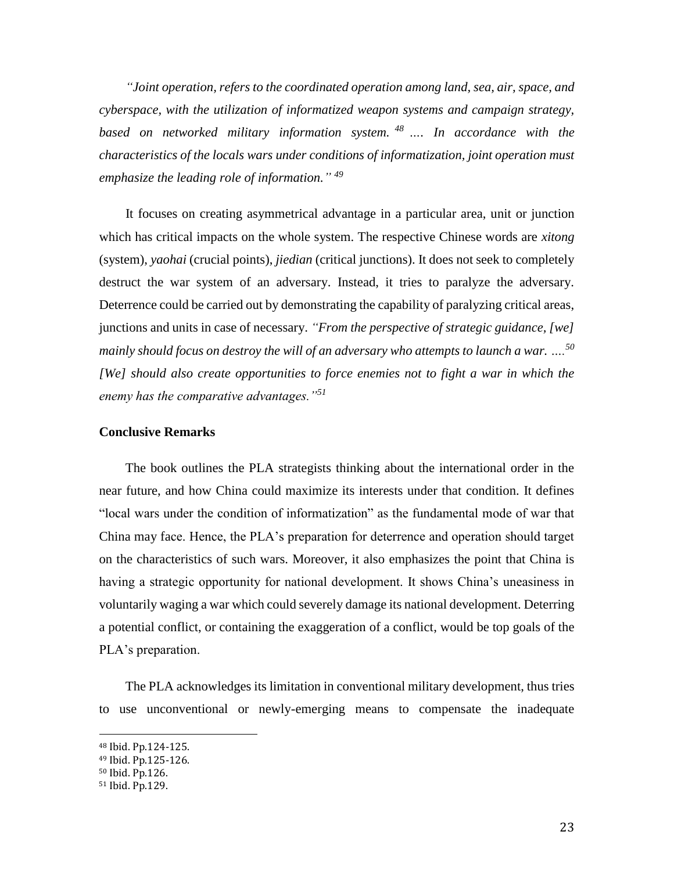*"Joint operation, refers to the coordinated operation among land, sea, air, space, and cyberspace, with the utilization of informatized weapon systems and campaign strategy, based on networked military information system. <sup>48</sup> …. In accordance with the characteristics of the locals wars under conditions of informatization, joint operation must emphasize the leading role of information." 49*

 It focuses on creating asymmetrical advantage in a particular area, unit or junction which has critical impacts on the whole system. The respective Chinese words are *xitong* (system), *yaohai* (crucial points), *jiedian* (critical junctions). It does not seek to completely destruct the war system of an adversary. Instead, it tries to paralyze the adversary. Deterrence could be carried out by demonstrating the capability of paralyzing critical areas, junctions and units in case of necessary. *"From the perspective of strategic guidance, [we] mainly should focus on destroy the will of an adversary who attempts to launch a war. …. 50 [We] should also create opportunities to force enemies not to fight a war in which the enemy has the comparative advantages."<sup>51</sup>*

# **Conclusive Remarks**

 The book outlines the PLA strategists thinking about the international order in the near future, and how China could maximize its interests under that condition. It defines "local wars under the condition of informatization" as the fundamental mode of war that China may face. Hence, the PLA's preparation for deterrence and operation should target on the characteristics of such wars. Moreover, it also emphasizes the point that China is having a strategic opportunity for national development. It shows China's uneasiness in voluntarily waging a war which could severely damage its national development. Deterring a potential conflict, or containing the exaggeration of a conflict, would be top goals of the PLA's preparation.

 The PLA acknowledges its limitation in conventional military development, thus tries to use unconventional or newly-emerging means to compensate the inadequate

<sup>48</sup> Ibid. Pp.124-125.

<sup>49</sup> Ibid. Pp.125-126.

<sup>50</sup> Ibid. Pp.126.

<sup>51</sup> Ibid. Pp.129.